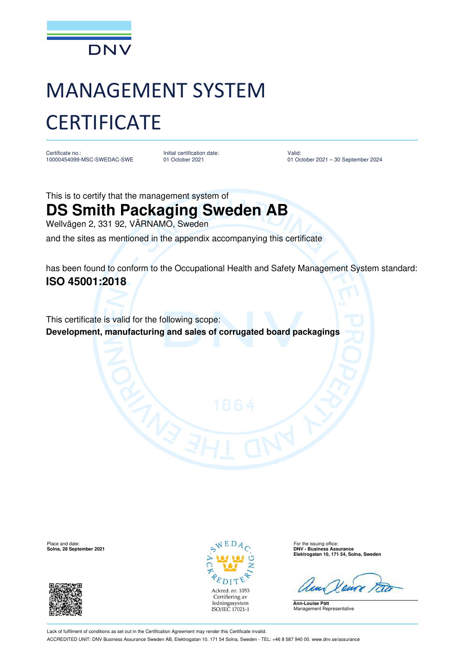

## MANAGEMENT SYSTEM **CERTIFICATE**

Certificate no.: 10000454099-MSC-SWEDAC-SWE Initial certification date: 01 October 2021

Valid: 01 October 2021 – 30 September 2024

This is to certify that the management system of **DS Smith Packaging Sweden AB** Wellvägen 2, 331 92, VÄRNAMO, Sweden

and the sites as mentioned in the appendix accompanying this certificate

has been found to conform to the Occupational Health and Safety Management System standard: **ISO 45001:2018**

This certificate is valid for the following scope: **Development, manufacturing and sales of corrugated board packagings**





Place and date: For the issuing office: **Solna, 28 September 2021 DNV - Business Assurance Elektrogatan 10, 171 54, Solna, Sweden**

**Ann-Louise Pått** Management Representative

Lack of fulfilment of conditions as set out in the Certification Agreement may render this Certificate invalid. ACCREDITED UNIT: DNV Business Assurance Sweden AB, Elektrogatan 10, 171 54 Solna, Sweden - TEL: +46 8 587 940 00. www.dnv.se/assurance